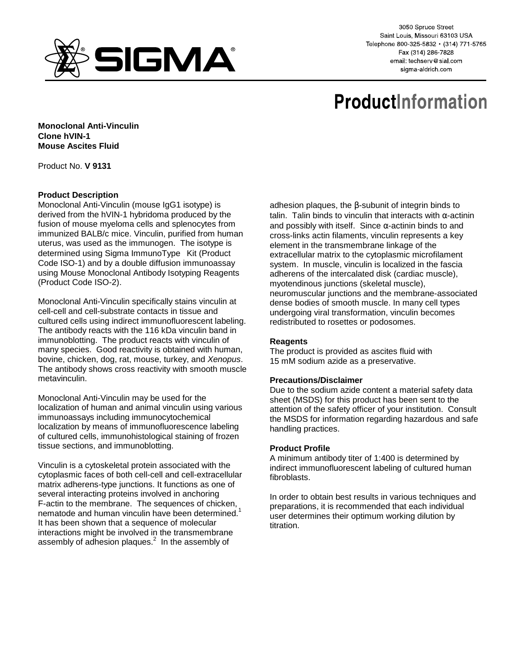

3050 Spruce Street Saint Louis, Missouri 63103 USA Telephone 800-325-5832 · (314) 771-5765 Fax (314) 286-7828 email: techserv@sial.com sigma-aldrich.com

# **ProductInformation**

**Monoclonal Anti-Vinculin Clone hVIN-1 Mouse Ascites Fluid** 

Product No. **V 9131**

## **Product Description**

Monoclonal Anti-Vinculin (mouse IgG1 isotype) is derived from the hVIN-1 hybridoma produced by the fusion of mouse myeloma cells and splenocytes from immunized BALB/c mice. Vinculin, purified from human uterus, was used as the immunogen. The isotype is determined using Sigma ImmunoType<sup>™</sup> Kit (Product Code ISO-1) and by a double diffusion immunoassay using Mouse Monoclonal Antibody Isotyping Reagents (Product Code ISO-2).

Monoclonal Anti-Vinculin specifically stains vinculin at cell-cell and cell-substrate contacts in tissue and cultured cells using indirect immunofluorescent labeling. The antibody reacts with the 116 kDa vinculin band in immunoblotting. The product reacts with vinculin of many species. Good reactivity is obtained with human, bovine, chicken, dog, rat, mouse, turkey, and Xenopus. The antibody shows cross reactivity with smooth muscle metavinculin.

Monoclonal Anti-Vinculin may be used for the localization of human and animal vinculin using various immunoassays including immunocytochemical localization by means of immunofluorescence labeling of cultured cells, immunohistological staining of frozen tissue sections, and immunoblotting.

Vinculin is a cytoskeletal protein associated with the cytoplasmic faces of both cell-cell and cell-extracellular matrix adherens-type junctions. It functions as one of several interacting proteins involved in anchoring F-actin to the membrane. The sequences of chicken, nematode and human vinculin have been determined.<sup>1</sup> It has been shown that a sequence of molecular interactions might be involved in the transmembrane assembly of adhesion plaques. $^2$  In the assembly of

adhesion plaques, the β-subunit of integrin binds to talin. Talin binds to vinculin that interacts with α-actinin and possibly with itself. Since  $\alpha$ -actinin binds to and cross-links actin filaments, vinculin represents a key element in the transmembrane linkage of the extracellular matrix to the cytoplasmic microfilament system. In muscle, vinculin is localized in the fascia adherens of the intercalated disk (cardiac muscle), myotendinous junctions (skeletal muscle), neuromuscular junctions and the membrane-associated dense bodies of smooth muscle. In many cell types undergoing viral transformation, vinculin becomes redistributed to rosettes or podosomes.

### **Reagents**

The product is provided as ascites fluid with 15 mM sodium azide as a preservative.

### **Precautions/Disclaimer**

Due to the sodium azide content a material safety data sheet (MSDS) for this product has been sent to the attention of the safety officer of your institution. Consult the MSDS for information regarding hazardous and safe handling practices.

### **Product Profile**

A minimum antibody titer of 1:400 is determined by indirect immunofluorescent labeling of cultured human fibroblasts.

In order to obtain best results in various techniques and preparations, it is recommended that each individual user determines their optimum working dilution by titration.